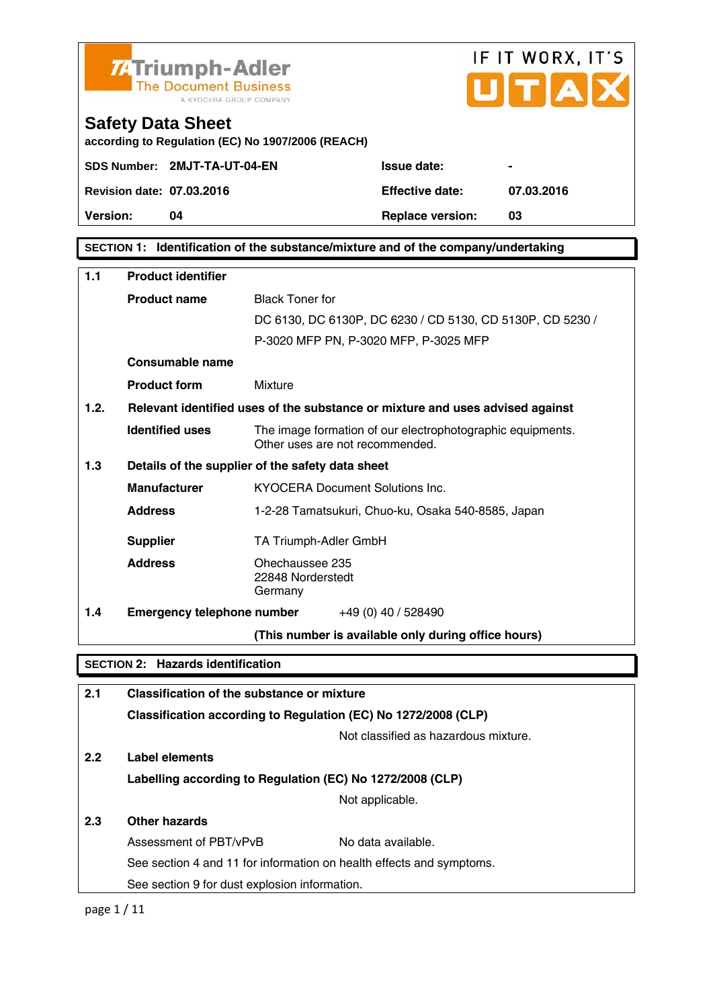

# IF IT WORX, IT'S  $\overline{\phantom{a}}$

# **Safety Data Sheet**

**according to Regulation (EC) No 1907/2006 (REACH)** 

|                                  | SDS Number: 2MJT-TA-UT-04-EN |
|----------------------------------|------------------------------|
| <b>Revision date: 07.03.2016</b> |                              |

**Version: 04 Replace version: 03** 

**Revision date: 07.03.2016 Effective date: 07.03.2016** 

**Issue date:**  $\qquad -$ 

**SECTION 1: Identification of the substance/mixture and of the company/undertaking** 

| 1.1                                      | <b>Product identifier</b>                  |                                                                                               |  |
|------------------------------------------|--------------------------------------------|-----------------------------------------------------------------------------------------------|--|
|                                          | <b>Product name</b>                        | <b>Black Toner for</b>                                                                        |  |
|                                          |                                            | DC 6130, DC 6130P, DC 6230 / CD 5130, CD 5130P, CD 5230 /                                     |  |
|                                          |                                            | P-3020 MFP PN, P-3020 MFP, P-3025 MFP                                                         |  |
|                                          | Consumable name                            |                                                                                               |  |
|                                          | <b>Product form</b>                        | Mixture                                                                                       |  |
| 1.2.                                     |                                            | Relevant identified uses of the substance or mixture and uses advised against                 |  |
|                                          | <b>Identified uses</b>                     | The image formation of our electrophotographic equipments.<br>Other uses are not recommended. |  |
| 1.3                                      |                                            | Details of the supplier of the safety data sheet                                              |  |
|                                          | <b>Manufacturer</b>                        | <b>KYOCERA Document Solutions Inc.</b>                                                        |  |
|                                          | <b>Address</b>                             | 1-2-28 Tamatsukuri, Chuo-ku, Osaka 540-8585, Japan                                            |  |
|                                          | <b>Supplier</b>                            | TA Triumph-Adler GmbH                                                                         |  |
|                                          | <b>Address</b>                             | Ohechaussee 235<br>22848 Norderstedt<br>Germany                                               |  |
| 1.4                                      |                                            | <b>Emergency telephone number</b> $+49(0)$ 40 / 528490                                        |  |
|                                          |                                            | (This number is available only during office hours)                                           |  |
| <b>SECTION 2: Hazards identification</b> |                                            |                                                                                               |  |
|                                          |                                            |                                                                                               |  |
| 2.1                                      | Classification of the substance or mixture |                                                                                               |  |
|                                          |                                            | Classification according to Regulation (EC) No 1272/2008 (CLP)                                |  |
|                                          |                                            | Not classified as hazardous mixture.                                                          |  |
| 2.2                                      | Label elements                             |                                                                                               |  |

**Labelling according to Regulation (EC) No 1272/2008 (CLP)**

Not applicable.

## **2.3 Other hazards**

| Assessment of PBT/vPvB |                                               | No data available.                                                   |
|------------------------|-----------------------------------------------|----------------------------------------------------------------------|
|                        |                                               | See section 4 and 11 for information on health effects and symptoms. |
|                        | See section 9 for dust explosion information. |                                                                      |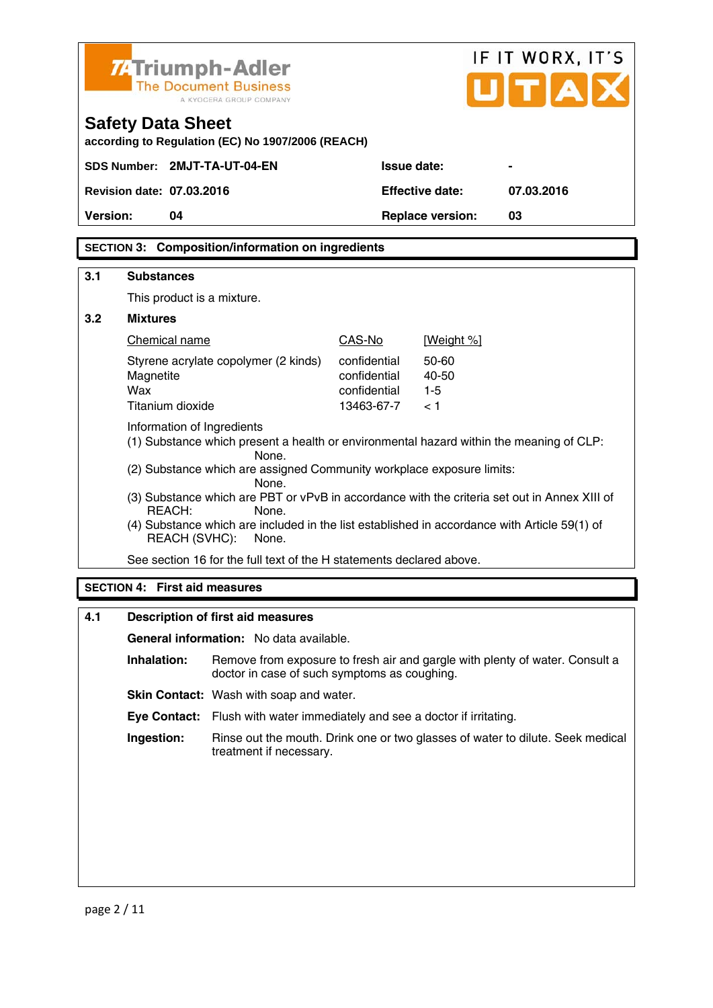|                                                                      | IF IT WORX, IT'S<br>7. Triumph-Adler<br>UITIA<br><b>The Document Business</b><br>A KYOCERA GROUP COMPANY                       |                                                                                                       |                              |                         |                                                                              |
|----------------------------------------------------------------------|--------------------------------------------------------------------------------------------------------------------------------|-------------------------------------------------------------------------------------------------------|------------------------------|-------------------------|------------------------------------------------------------------------------|
|                                                                      | <b>Safety Data Sheet</b>                                                                                                       | according to Regulation (EC) No 1907/2006 (REACH)                                                     |                              |                         |                                                                              |
|                                                                      | SDS Number: 2MJT-TA-UT-04-EN                                                                                                   |                                                                                                       | <b>Issue date:</b>           |                         |                                                                              |
|                                                                      | <b>Revision date: 07.03.2016</b>                                                                                               |                                                                                                       |                              | <b>Effective date:</b>  | 07.03.2016                                                                   |
| <b>Version:</b>                                                      | 04                                                                                                                             |                                                                                                       |                              | <b>Replace version:</b> | 03                                                                           |
|                                                                      |                                                                                                                                | <b>SECTION 3: Composition/information on ingredients</b>                                              |                              |                         |                                                                              |
| 3.1                                                                  | <b>Substances</b>                                                                                                              |                                                                                                       |                              |                         |                                                                              |
|                                                                      | This product is a mixture.                                                                                                     |                                                                                                       |                              |                         |                                                                              |
| 3.2                                                                  | <b>Mixtures</b>                                                                                                                |                                                                                                       |                              |                         |                                                                              |
|                                                                      | Chemical name                                                                                                                  |                                                                                                       | CAS-No                       | [Weight %]              |                                                                              |
|                                                                      |                                                                                                                                | Styrene acrylate copolymer (2 kinds)                                                                  | confidential                 | $50 - 60$               |                                                                              |
|                                                                      | Magnetite<br>Wax                                                                                                               |                                                                                                       | confidential<br>confidential | 40-50<br>$1 - 5$        |                                                                              |
|                                                                      | Titanium dioxide                                                                                                               |                                                                                                       | 13463-67-7                   | < 1                     |                                                                              |
|                                                                      | Information of Ingredients<br>(1) Substance which present a health or environmental hazard within the meaning of CLP:<br>None. |                                                                                                       |                              |                         |                                                                              |
|                                                                      |                                                                                                                                | (2) Substance which are assigned Community workplace exposure limits:                                 |                              |                         |                                                                              |
|                                                                      |                                                                                                                                | None.<br>(3) Substance which are PBT or vPvB in accordance with the criteria set out in Annex XIII of |                              |                         |                                                                              |
|                                                                      | REACH:                                                                                                                         | None.                                                                                                 |                              |                         |                                                                              |
|                                                                      | REACH (SVHC):                                                                                                                  | (4) Substance which are included in the list established in accordance with Article 59(1) of<br>None. |                              |                         |                                                                              |
| See section 16 for the full text of the H statements declared above. |                                                                                                                                |                                                                                                       |                              |                         |                                                                              |
| <b>SECTION 4: First aid measures</b>                                 |                                                                                                                                |                                                                                                       |                              |                         |                                                                              |
| 4.1                                                                  | Description of first aid measures                                                                                              |                                                                                                       |                              |                         |                                                                              |
|                                                                      |                                                                                                                                | General information: No data available.                                                               |                              |                         |                                                                              |
|                                                                      | Inhalation:                                                                                                                    | doctor in case of such symptoms as coughing.                                                          |                              |                         | Remove from exposure to fresh air and gargle with plenty of water. Consult a |

**Skin Contact:** Wash with soap and water.

 **Eye Contact:** Flush with water immediately and see a doctor if irritating.

 **Ingestion:** Rinse out the mouth. Drink one or two glasses of water to dilute. Seek medical treatment if necessary.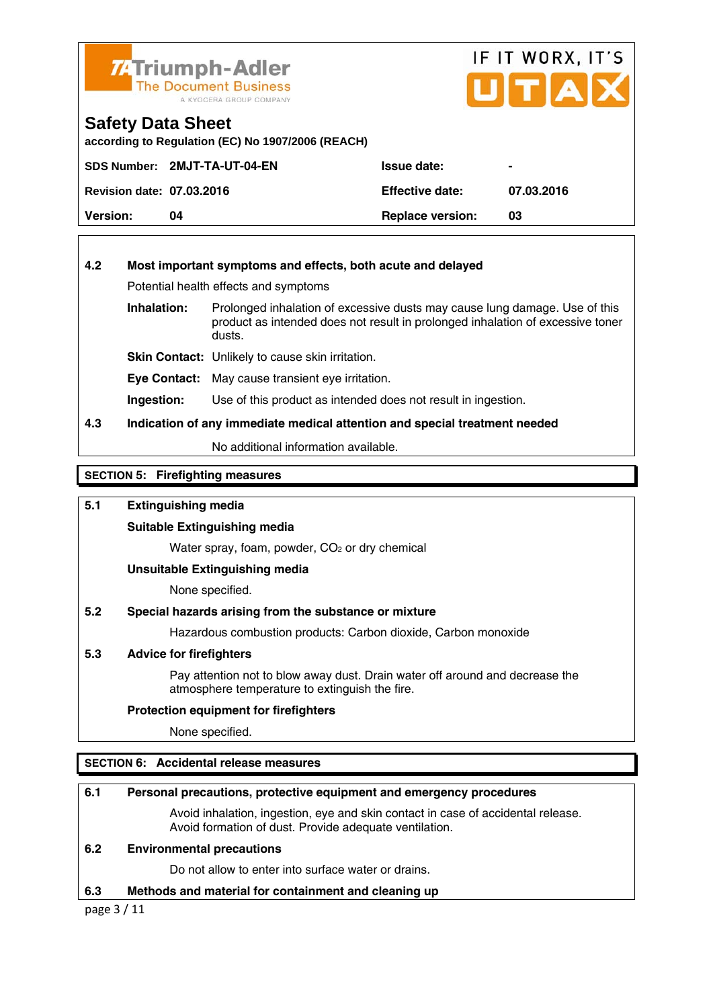

# IF IT WORX, IT'S UITIA

## **Safety Data Sheet**

**according to Regulation (EC) No 1907/2006 (REACH)** 

|                                  | SDS Number: 2MJT-TA-UT-04-EN | <b>Issue date:</b>      |            |
|----------------------------------|------------------------------|-------------------------|------------|
| <b>Revision date: 07.03.2016</b> |                              | <b>Effective date:</b>  | 07.03.2016 |
| <b>Version:</b>                  | 04                           | <b>Replace version:</b> | 03         |

#### **4.2 Most important symptoms and effects, both acute and delayed**

Potential health effects and symptoms

**Inhalation:** Prolonged inhalation of excessive dusts may cause lung damage. Use of this product as intended does not result in prolonged inhalation of excessive toner dusts.

**Skin Contact:** Unlikely to cause skin irritation.

**Eye Contact:** May cause transient eye irritation.

**Ingestion:** Use of this product as intended does not result in ingestion.

#### **4.3 Indication of any immediate medical attention and special treatment needed**

No additional information available.

**SECTION 5: Firefighting measures** 

#### **5.1 Extinguishing media**

#### **Suitable Extinguishing media**

Water spray, foam, powder, CO<sub>2</sub> or dry chemical

#### **Unsuitable Extinguishing media**

None specified.

#### **5.2 Special hazards arising from the substance or mixture**

Hazardous combustion products: Carbon dioxide, Carbon monoxide

#### **5.3 Advice for firefighters**

 Pay attention not to blow away dust. Drain water off around and decrease the atmosphere temperature to extinguish the fire.

#### **Protection equipment for firefighters**

None specified.

#### **SECTION 6: Accidental release measures**

#### **6.1 Personal precautions, protective equipment and emergency procedures**

 Avoid inhalation, ingestion, eye and skin contact in case of accidental release. Avoid formation of dust. Provide adequate ventilation.

#### **6.2 Environmental precautions**

Do not allow to enter into surface water or drains.

#### **6.3 Methods and material for containment and cleaning up**

page 3 / 11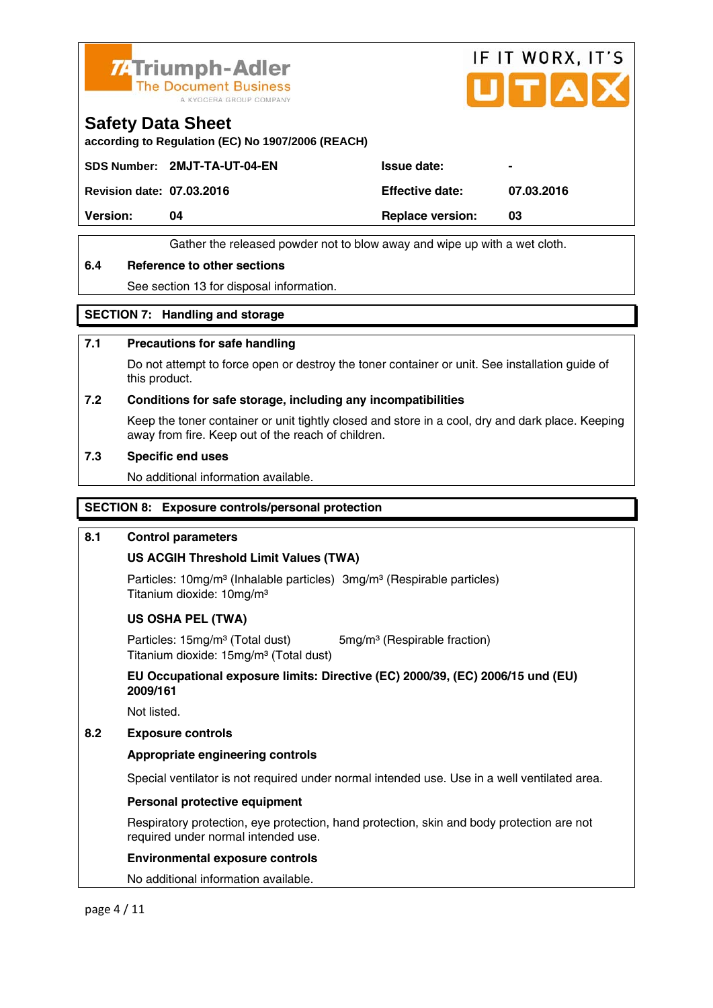



### **Safety Data Sheet**

**according to Regulation (EC) No 1907/2006 (REACH)** 

SDS Number: 2MJT-TA-UT-04-EN ISSue date:

**Revision date: 07.03.2016 Effective date: 07.03.2016** 

**Version:** 04 **Replace version:** 03

Gather the released powder not to blow away and wipe up with a wet cloth.

#### **6.4 Reference to other sections**

See section 13 for disposal information.

#### **SECTION 7: Handling and storage**

#### **7.1 Precautions for safe handling**

 Do not attempt to force open or destroy the toner container or unit. See installation guide of this product.

#### **7.2 Conditions for safe storage, including any incompatibilities**

Keep the toner container or unit tightly closed and store in a cool, dry and dark place. Keeping away from fire. Keep out of the reach of children.

#### **7.3 Specific end uses**

No additional information available.

#### **SECTION 8: Exposure controls/personal protection**

#### **8.1 Control parameters**

#### **US ACGIH Threshold Limit Values (TWA)**

Particles: 10mg/m<sup>3</sup> (Inhalable particles) 3mg/m<sup>3</sup> (Respirable particles) Titanium dioxide: 10mg/m³

#### **US OSHA PEL (TWA)**

Particles: 15mg/m<sup>3</sup> (Total dust) 5mg/m<sup>3</sup> (Respirable fraction) Titanium dioxide: 15mg/m³ (Total dust)

 **EU Occupational exposure limits: Directive (EC) 2000/39, (EC) 2006/15 und (EU) 2009/161** 

Not listed.

#### **8.2 Exposure controls**

#### **Appropriate engineering controls**

Special ventilator is not required under normal intended use. Use in a well ventilated area.

#### **Personal protective equipment**

 Respiratory protection, eye protection, hand protection, skin and body protection are not required under normal intended use.

#### **Environmental exposure controls**

No additional information available.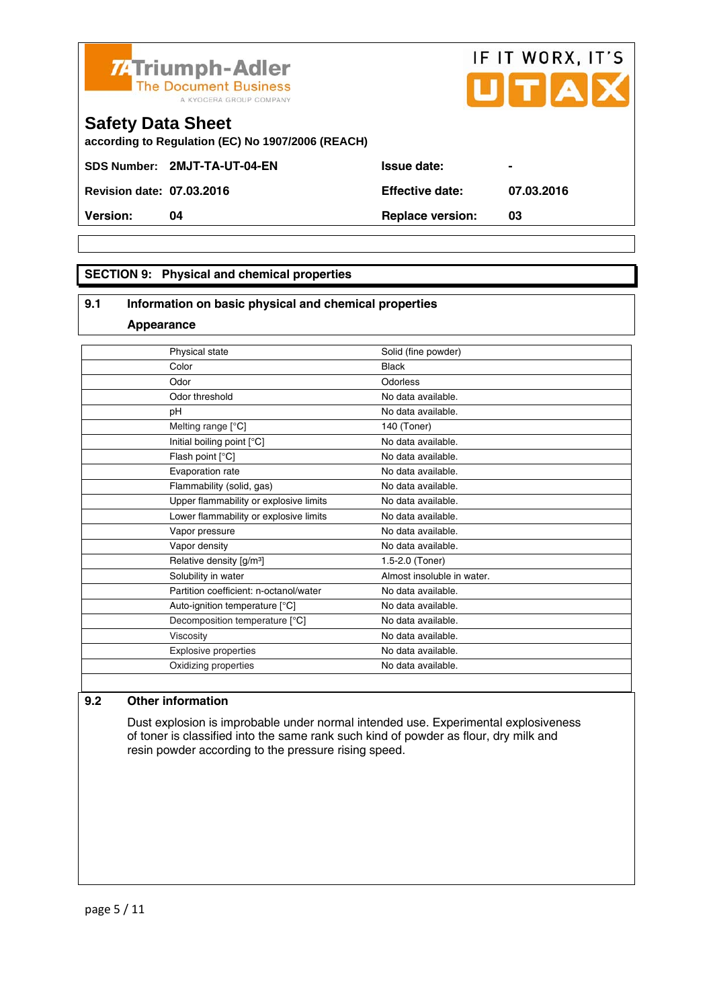

**SECTION 9: Physical and chemical properties** 

#### **9.1 Information on basic physical and chemical properties**

#### **Appearance**

| Physical state                         | Solid (fine powder)        |
|----------------------------------------|----------------------------|
| Color                                  | <b>Black</b>               |
| Odor                                   | Odorless                   |
| Odor threshold                         | No data available.         |
| рH                                     | No data available.         |
| Melting range [°C]                     | 140 (Toner)                |
| Initial boiling point [°C]             | No data available.         |
| Flash point [°C]                       | No data available.         |
| Evaporation rate                       | No data available.         |
| Flammability (solid, gas)              | No data available.         |
| Upper flammability or explosive limits | No data available.         |
| Lower flammability or explosive limits | No data available.         |
| Vapor pressure                         | No data available.         |
| Vapor density                          | No data available.         |
| Relative density [g/m <sup>3</sup> ]   | 1.5-2.0 (Toner)            |
| Solubility in water                    | Almost insoluble in water. |
| Partition coefficient: n-octanol/water | No data available.         |
| Auto-ignition temperature [°C]         | No data available.         |
| Decomposition temperature [°C]         | No data available.         |
| Viscosity                              | No data available.         |
| Explosive properties                   | No data available.         |
| Oxidizing properties                   | No data available.         |
|                                        |                            |

#### **9.2 Other information**

 Dust explosion is improbable under normal intended use. Experimental explosiveness of toner is classified into the same rank such kind of powder as flour, dry milk and resin powder according to the pressure rising speed.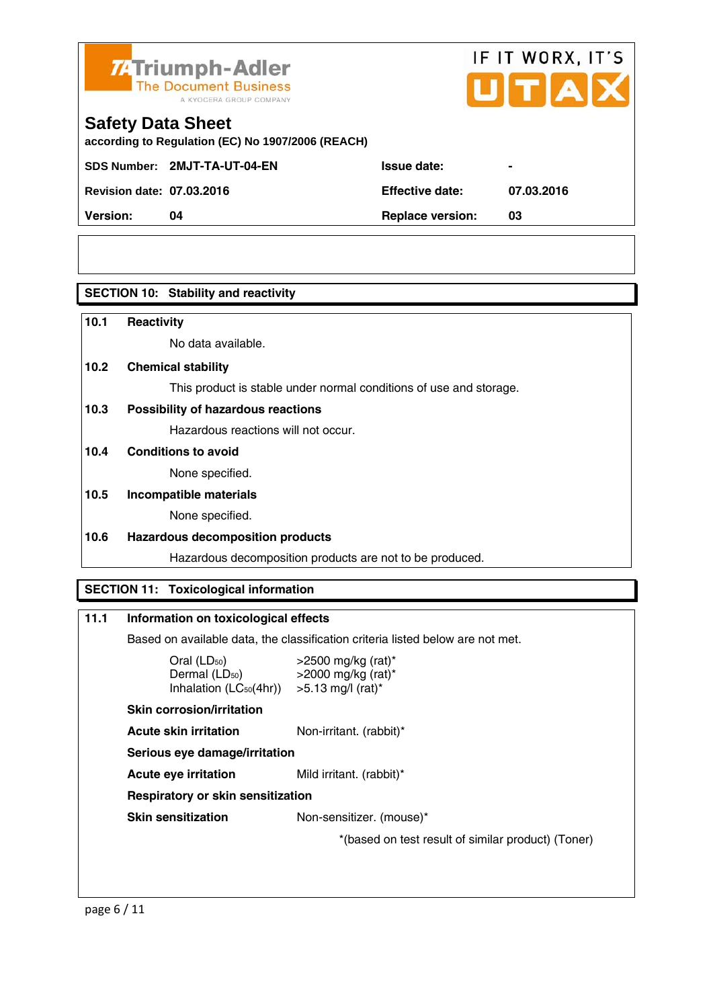

# IF IT WORX, IT'S

## **Safety Data Sheet**

**according to Regulation (EC) No 1907/2006 (REACH)** 

SDS Number: 2MJT-TA-UT-04-EN ISSue date:

**Revision date: 07.03.2016 Effective date: 07.03.2016** 

**Version: 04 Replace version: 03** 

#### **SECTION 10: Stability and reactivity**

#### **10.1 Reactivity**

No data available.

#### **10.2 Chemical stability**

This product is stable under normal conditions of use and storage.

#### **10.3 Possibility of hazardous reactions**

Hazardous reactions will not occur.

#### **10.4 Conditions to avoid**

None specified.

# **10.5 Incompatible materials**

None specified.

#### **10.6 Hazardous decomposition products**

Hazardous decomposition products are not to be produced.

#### **SECTION 11: Toxicological information**

#### **11.1 Information on toxicological effects**

Based on available data, the classification criteria listed below are not met.

| $Oral$ (LD <sub>50</sub> )  | >2500 mg/kg (rat)*              |
|-----------------------------|---------------------------------|
| Dermal (LD <sub>50</sub> )  | >2000 mg/kg (rat)*              |
| Inhalation $(LC_{50}(4hr))$ | $>5.13$ mg/l (rat) <sup>*</sup> |

#### **Skin corrosion/irritation**

**Acute skin irritation** Non-irritant. (rabbit)\*

 **Serious eye damage/irritation** 

**Acute eye irritation** Mild irritant. (rabbit)\*

#### **Respiratory or skin sensitization**

**Skin sensitization** Non-sensitizer. (mouse)\*

\*(based on test result of similar product) (Toner)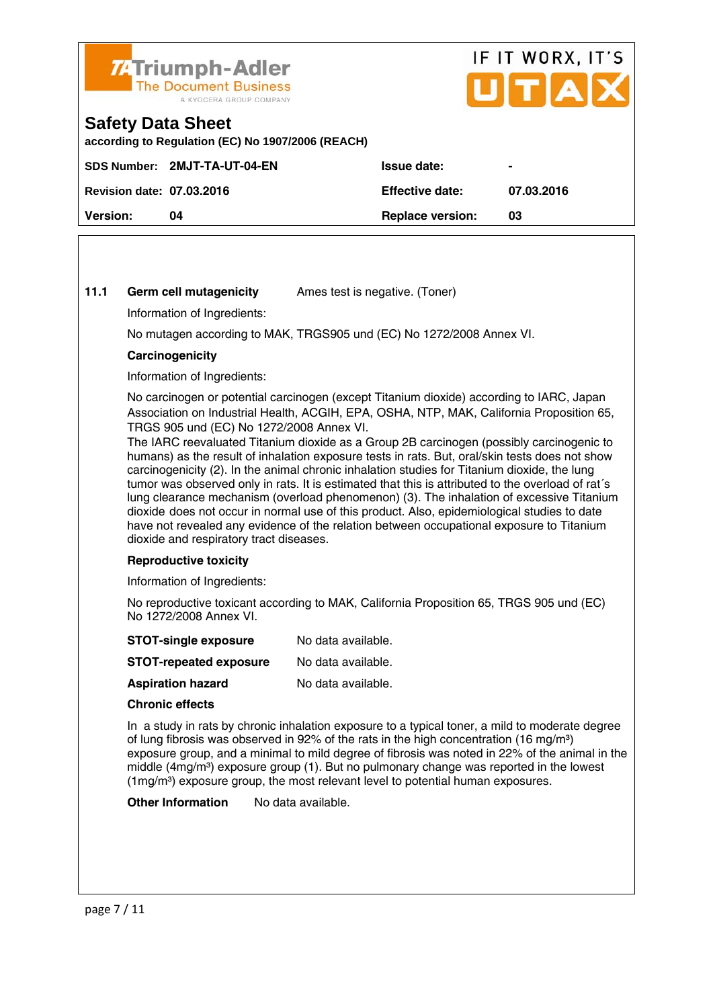

# IF IT WORX, IT'S Пітіа

## **Safety Data Sheet**

**according to Regulation (EC) No 1907/2006 (REACH)** 

|                                  | SDS Number: 2MJT-TA-UT-04-EN | <b>Issue date:</b>      | $\blacksquare$ |
|----------------------------------|------------------------------|-------------------------|----------------|
| <b>Revision date: 07.03.2016</b> |                              | Effective date:         | 07.03.2016     |
| <b>Version:</b>                  | 04                           | <b>Replace version:</b> | 03             |
|                                  |                              |                         |                |

#### **11.1 Germ cell mutagenicity** Ames test is negative. (Toner)

Information of Ingredients:

No mutagen according to MAK, TRGS905 und (EC) No 1272/2008 Annex VI.

#### **Carcinogenicity**

Information of Ingredients:

 No carcinogen or potential carcinogen (except Titanium dioxide) according to IARC, Japan Association on Industrial Health, ACGIH, EPA, OSHA, NTP, MAK, California Proposition 65, TRGS 905 und (EC) No 1272/2008 Annex VI.

 The IARC reevaluated Titanium dioxide as a Group 2B carcinogen (possibly carcinogenic to humans) as the result of inhalation exposure tests in rats. But, oral/skin tests does not show carcinogenicity (2). In the animal chronic inhalation studies for Titanium dioxide, the lung tumor was observed only in rats. It is estimated that this is attributed to the overload of rat´s lung clearance mechanism (overload phenomenon) (3). The inhalation of excessive Titanium dioxide does not occur in normal use of this product. Also, epidemiological studies to date have not revealed any evidence of the relation between occupational exposure to Titanium dioxide and respiratory tract diseases.

#### **Reproductive toxicity**

Information of Ingredients:

 No reproductive toxicant according to MAK, California Proposition 65, TRGS 905 und (EC) No 1272/2008 Annex VI.

| <b>STOT-single exposure</b>   | No data available. |
|-------------------------------|--------------------|
| <b>STOT-repeated exposure</b> | No data available. |

**Aspiration hazard** No data available.

#### **Chronic effects**

 In a study in rats by chronic inhalation exposure to a typical toner, a mild to moderate degree of lung fibrosis was observed in 92% of the rats in the high concentration (16 mg/m<sup>3</sup>) exposure group, and a minimal to mild degree of fibrosis was noted in 22% of the animal in the middle  $(4mg/m<sup>3</sup>)$  exposure group (1). But no pulmonary change was reported in the lowest (1mg/m³) exposure group, the most relevant level to potential human exposures.

**Other Information** No data available.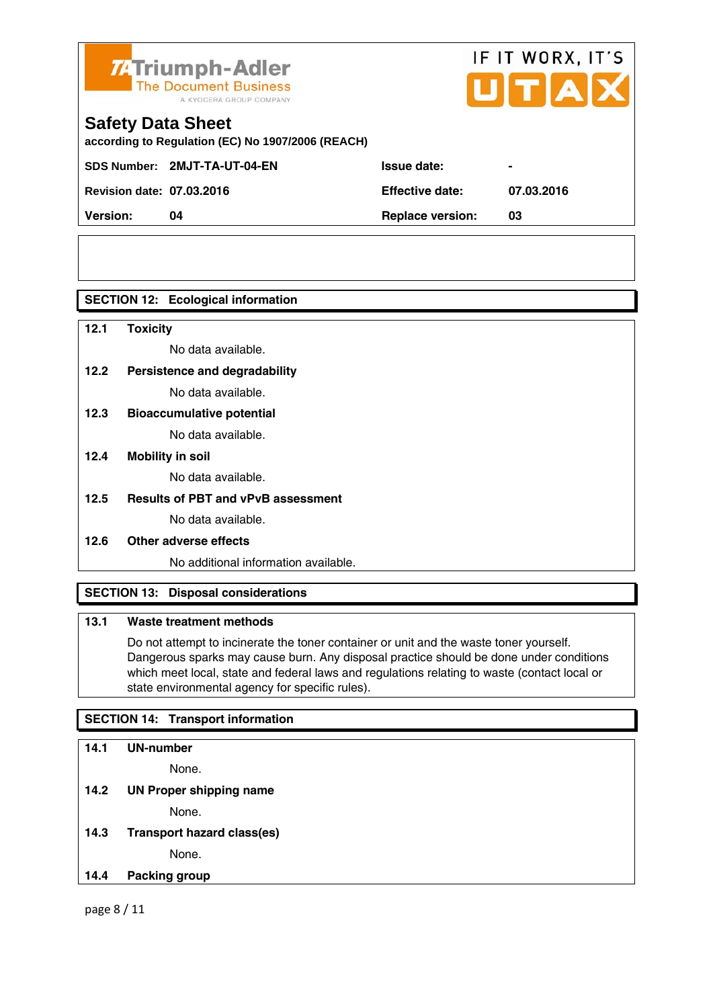

# IF IT WORX, IT'S

# **Safety Data Sheet**

**according to Regulation (EC) No 1907/2006 (REACH)** 

SDS Number: 2MJT-TA-UT-04-EN ISSue date:

**Revision date: 07.03.2016 Effective date: 07.03.2016** 

**Version: 04 Replace version: 03** 

#### **SECTION 12: Ecological information**

**12.1 Toxicity** 

No data available.

### **12.2 Persistence and degradability**

No data available.

**12.3 Bioaccumulative potential** 

No data available.

#### **12.4 Mobility in soil**

No data available.

#### **12.5 Results of PBT and vPvB assessment**

No data available.

#### **12.6 Other adverse effects**

No additional information available.

#### **SECTION 13: Disposal considerations**

#### **13.1 Waste treatment methods**

 Do not attempt to incinerate the toner container or unit and the waste toner yourself. Dangerous sparks may cause burn. Any disposal practice should be done under conditions which meet local, state and federal laws and regulations relating to waste (contact local or state environmental agency for specific rules).

#### **SECTION 14: Transport information**

# **14.1 UN-number**

None.

**14.2 UN Proper shipping name** 

None.

**14.3 Transport hazard class(es)**  None.

#### **14.4 Packing group**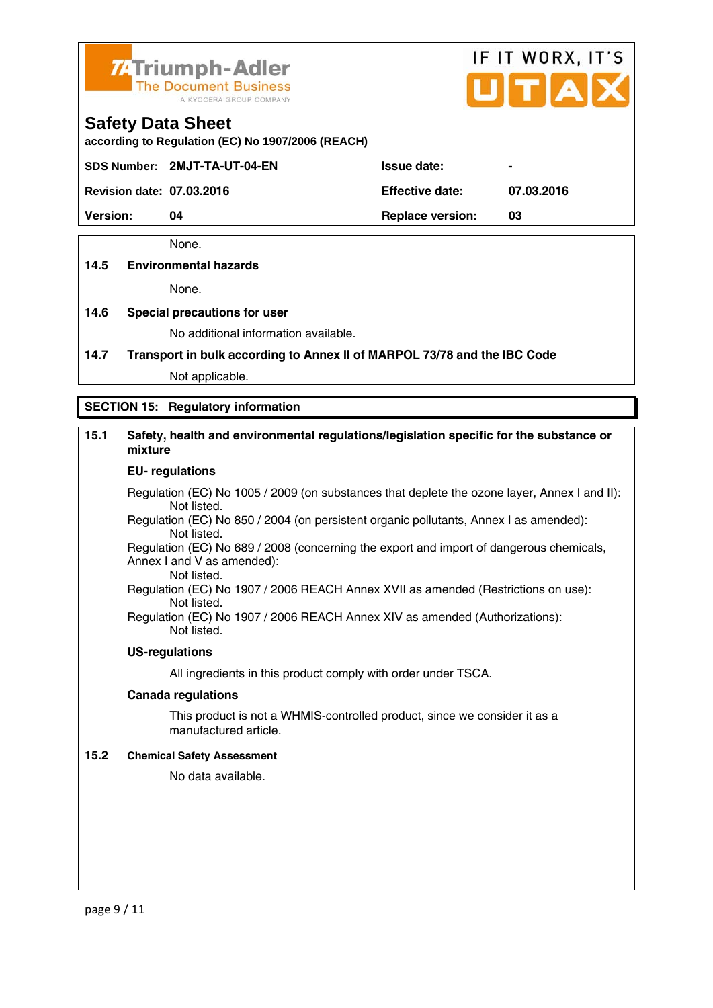

# IF IT WORX, IT'S

#### **Safety Data Sheet**

**according to Regulation (EC) No 1907/2006 (REACH)** 

SDS Number: 2MJT-TA-UT-04-EN ISSue date:

**Revision date: 07.03.2016 Effective date: 07.03.2016** 

**Version: 04 Replace version: 03** 

None.

#### **14.5 Environmental hazards**

None.

#### **14.6 Special precautions for user**

No additional information available.

**14.7 Transport in bulk according to Annex II of MARPOL 73/78 and the IBC Code**

Not applicable.

#### **SECTION 15: Regulatory information**

#### **15.1 Safety, health and environmental regulations/legislation specific for the substance or mixture**

#### **EU- regulations**

Regulation (EC) No 1005 / 2009 (on substances that deplete the ozone layer, Annex I and II): Not listed.

 Regulation (EC) No 850 / 2004 (on persistent organic pollutants, Annex I as amended): Not listed.

 Regulation (EC) No 689 / 2008 (concerning the export and import of dangerous chemicals, Annex I and V as amended): Not listed.

 Regulation (EC) No 1907 / 2006 REACH Annex XVII as amended (Restrictions on use): Not listed.

Regulation (EC) No 1907 / 2006 REACH Annex XIV as amended (Authorizations): Not listed.

#### **US-regulations**

All ingredients in this product comply with order under TSCA.

#### **Canada regulations**

 This product is not a WHMIS-controlled product, since we consider it as a manufactured article.

#### **15.2 Chemical Safety Assessment**

No data available.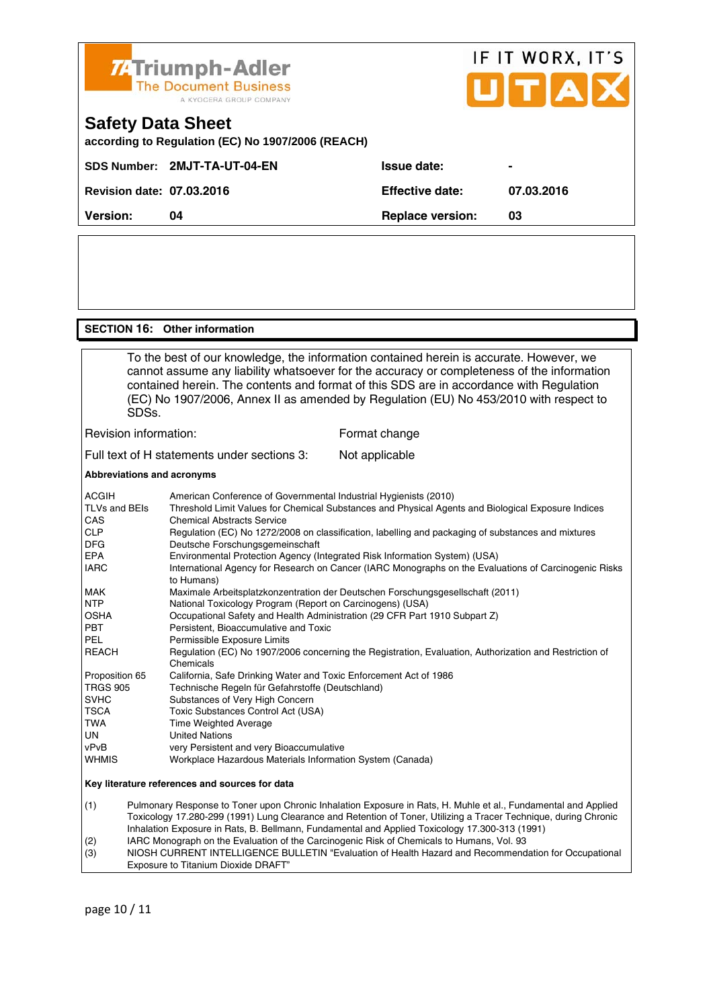

#### **SECTION 16: Other information**

 To the best of our knowledge, the information contained herein is accurate. However, we cannot assume any liability whatsoever for the accuracy or completeness of the information contained herein. The contents and format of this SDS are in accordance with Regulation (EC) No 1907/2006, Annex II as amended by Regulation (EU) No 453/2010 with respect to SDSs. Revision information: Format change

Full text of H statements under sections 3: Not applicable

#### **Abbreviations and acronyms**

| <b>ACGIH</b>                | American Conference of Governmental Industrial Hygienists (2010)                                                                        |
|-----------------------------|-----------------------------------------------------------------------------------------------------------------------------------------|
| <b>TLVs and BEIs</b><br>CAS | Threshold Limit Values for Chemical Substances and Physical Agents and Biological Exposure Indices<br><b>Chemical Abstracts Service</b> |
| <b>CLP</b><br><b>DFG</b>    | Regulation (EC) No 1272/2008 on classification, labelling and packaging of substances and mixtures<br>Deutsche Forschungsgemeinschaft   |
| <b>EPA</b>                  | Environmental Protection Agency (Integrated Risk Information System) (USA)                                                              |
| <b>IARC</b>                 | International Agency for Research on Cancer (IARC Monographs on the Evaluations of Carcinogenic Risks<br>to Humans)                     |
| <b>MAK</b>                  | Maximale Arbeitsplatzkonzentration der Deutschen Forschungsgesellschaft (2011)                                                          |
| <b>NTP</b>                  | National Toxicology Program (Report on Carcinogens) (USA)                                                                               |
| <b>OSHA</b>                 | Occupational Safety and Health Administration (29 CFR Part 1910 Subpart Z)                                                              |
| <b>PBT</b>                  | Persistent, Bioaccumulative and Toxic                                                                                                   |
| <b>PEL</b>                  | Permissible Exposure Limits                                                                                                             |
| <b>REACH</b>                | Regulation (EC) No 1907/2006 concerning the Registration, Evaluation, Authorization and Restriction of<br>Chemicals                     |
| Proposition 65              | California, Safe Drinking Water and Toxic Enforcement Act of 1986                                                                       |
| <b>TRGS 905</b>             | Technische Regeln für Gefahrstoffe (Deutschland)                                                                                        |
| <b>SVHC</b>                 | Substances of Very High Concern                                                                                                         |
| <b>TSCA</b>                 | Toxic Substances Control Act (USA)                                                                                                      |
| <b>TWA</b>                  | Time Weighted Average                                                                                                                   |
| <b>UN</b>                   | <b>United Nations</b>                                                                                                                   |
| vPvB                        | very Persistent and very Bioaccumulative                                                                                                |
| <b>WHMIS</b>                | Workplace Hazardous Materials Information System (Canada)                                                                               |
|                             | Key literature references and sources for data                                                                                          |
| (1)                         | Pulmonary Response to Toner upon Chronic Inhalation Exposure in Rats, H. Muhle et al., Fundamental and Applied                          |

 Toxicology 17.280-299 (1991) Lung Clearance and Retention of Toner, Utilizing a Tracer Technique, during Chronic Inhalation Exposure in Rats, B. Bellmann, Fundamental and Applied Toxicology 17.300-313 (1991) (2) IARC Monograph on the Evaluation of the Carcinogenic Risk of Chemicals to Humans, Vol. 93

(3) NIOSH CURRENT INTELLIGENCE BULLETIN "Evaluation of Health Hazard and Recommendation for Occupational Exposure to Titanium Dioxide DRAFT"